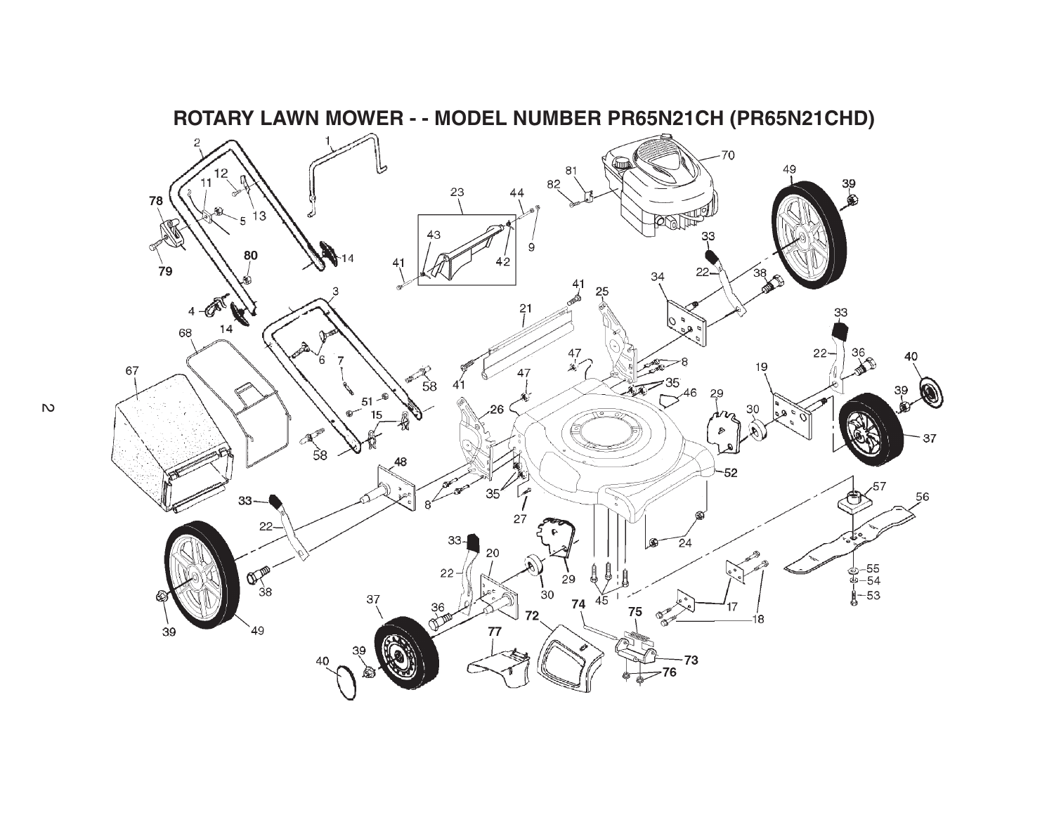

**ROTARY LAWN MOWER - - MODEL NUMBER PR65N21CH (PR65N21CHD)**

 $\overline{v}$